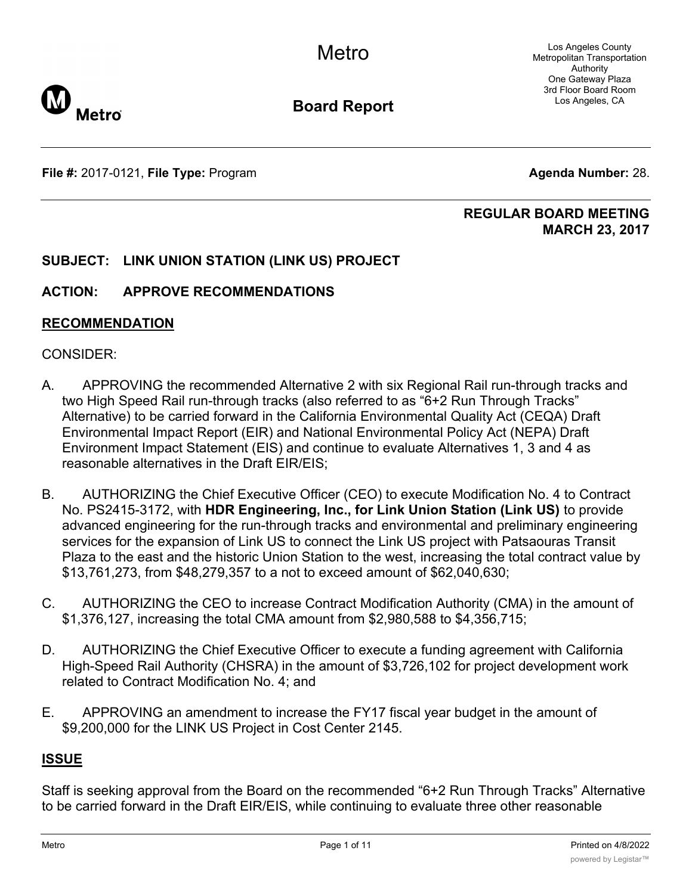Los Angeles County Metropolitan Transportation Authority One Gateway Plaza 3rd Floor Board Room Los Angeles, CA



**Board Report**

**File #:** 2017-0121, File Type: Program **Agents Agenda Number:** 28.

### **REGULAR BOARD MEETING MARCH 23, 2017**

## **SUBJECT: LINK UNION STATION (LINK US) PROJECT**

### **ACTION: APPROVE RECOMMENDATIONS**

#### **RECOMMENDATION**

### CONSIDER:

- A. APPROVING the recommended Alternative 2 with six Regional Rail run-through tracks and two High Speed Rail run-through tracks (also referred to as "6+2 Run Through Tracks" Alternative) to be carried forward in the California Environmental Quality Act (CEQA) Draft Environmental Impact Report (EIR) and National Environmental Policy Act (NEPA) Draft Environment Impact Statement (EIS) and continue to evaluate Alternatives 1, 3 and 4 as reasonable alternatives in the Draft EIR/EIS;
- B. AUTHORIZING the Chief Executive Officer (CEO) to execute Modification No. 4 to Contract No. PS2415-3172, with **HDR Engineering, Inc., for Link Union Station (Link US)** to provide advanced engineering for the run-through tracks and environmental and preliminary engineering services for the expansion of Link US to connect the Link US project with Patsaouras Transit Plaza to the east and the historic Union Station to the west, increasing the total contract value by \$13,761,273, from \$48,279,357 to a not to exceed amount of \$62,040,630;
- C. AUTHORIZING the CEO to increase Contract Modification Authority (CMA) in the amount of \$1,376,127, increasing the total CMA amount from \$2,980,588 to \$4,356,715;
- D. AUTHORIZING the Chief Executive Officer to execute a funding agreement with California High-Speed Rail Authority (CHSRA) in the amount of \$3,726,102 for project development work related to Contract Modification No. 4; and
- E. APPROVING an amendment to increase the FY17 fiscal year budget in the amount of \$9,200,000 for the LINK US Project in Cost Center 2145.

### **ISSUE**

Staff is seeking approval from the Board on the recommended "6+2 Run Through Tracks" Alternative to be carried forward in the Draft EIR/EIS, while continuing to evaluate three other reasonable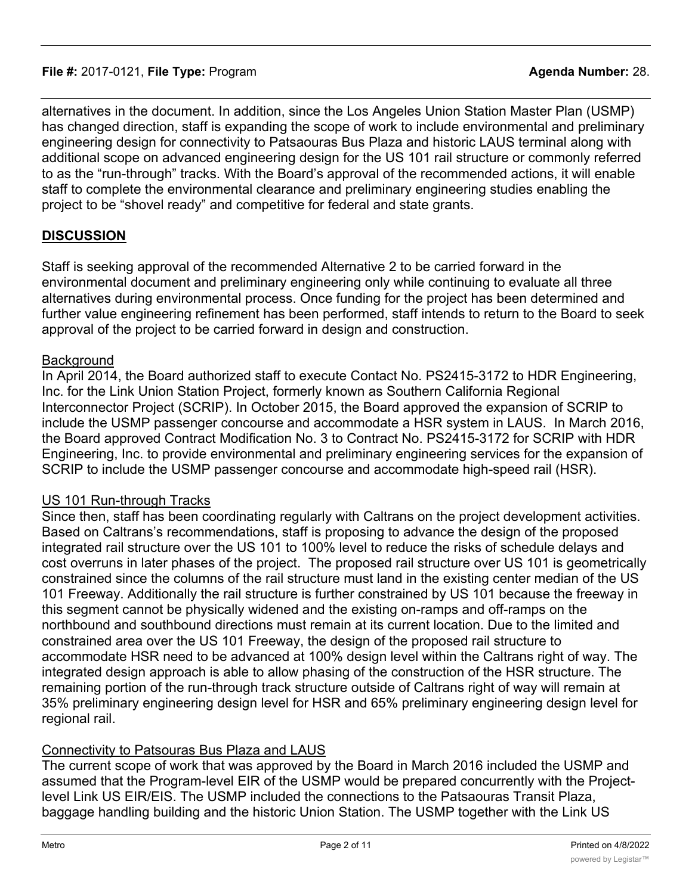alternatives in the document. In addition, since the Los Angeles Union Station Master Plan (USMP) has changed direction, staff is expanding the scope of work to include environmental and preliminary engineering design for connectivity to Patsaouras Bus Plaza and historic LAUS terminal along with additional scope on advanced engineering design for the US 101 rail structure or commonly referred to as the "run-through" tracks. With the Board's approval of the recommended actions, it will enable staff to complete the environmental clearance and preliminary engineering studies enabling the project to be "shovel ready" and competitive for federal and state grants.

### **DISCUSSION**

Staff is seeking approval of the recommended Alternative 2 to be carried forward in the environmental document and preliminary engineering only while continuing to evaluate all three alternatives during environmental process. Once funding for the project has been determined and further value engineering refinement has been performed, staff intends to return to the Board to seek approval of the project to be carried forward in design and construction.

#### **Background**

In April 2014, the Board authorized staff to execute Contact No. PS2415-3172 to HDR Engineering, Inc. for the Link Union Station Project, formerly known as Southern California Regional Interconnector Project (SCRIP). In October 2015, the Board approved the expansion of SCRIP to include the USMP passenger concourse and accommodate a HSR system in LAUS. In March 2016, the Board approved Contract Modification No. 3 to Contract No. PS2415-3172 for SCRIP with HDR Engineering, Inc. to provide environmental and preliminary engineering services for the expansion of SCRIP to include the USMP passenger concourse and accommodate high-speed rail (HSR).

### US 101 Run-through Tracks

Since then, staff has been coordinating regularly with Caltrans on the project development activities. Based on Caltrans's recommendations, staff is proposing to advance the design of the proposed integrated rail structure over the US 101 to 100% level to reduce the risks of schedule delays and cost overruns in later phases of the project. The proposed rail structure over US 101 is geometrically constrained since the columns of the rail structure must land in the existing center median of the US 101 Freeway. Additionally the rail structure is further constrained by US 101 because the freeway in this segment cannot be physically widened and the existing on-ramps and off-ramps on the northbound and southbound directions must remain at its current location. Due to the limited and constrained area over the US 101 Freeway, the design of the proposed rail structure to accommodate HSR need to be advanced at 100% design level within the Caltrans right of way. The integrated design approach is able to allow phasing of the construction of the HSR structure. The remaining portion of the run-through track structure outside of Caltrans right of way will remain at 35% preliminary engineering design level for HSR and 65% preliminary engineering design level for regional rail.

### Connectivity to Patsouras Bus Plaza and LAUS

The current scope of work that was approved by the Board in March 2016 included the USMP and assumed that the Program-level EIR of the USMP would be prepared concurrently with the Projectlevel Link US EIR/EIS. The USMP included the connections to the Patsaouras Transit Plaza, baggage handling building and the historic Union Station. The USMP together with the Link US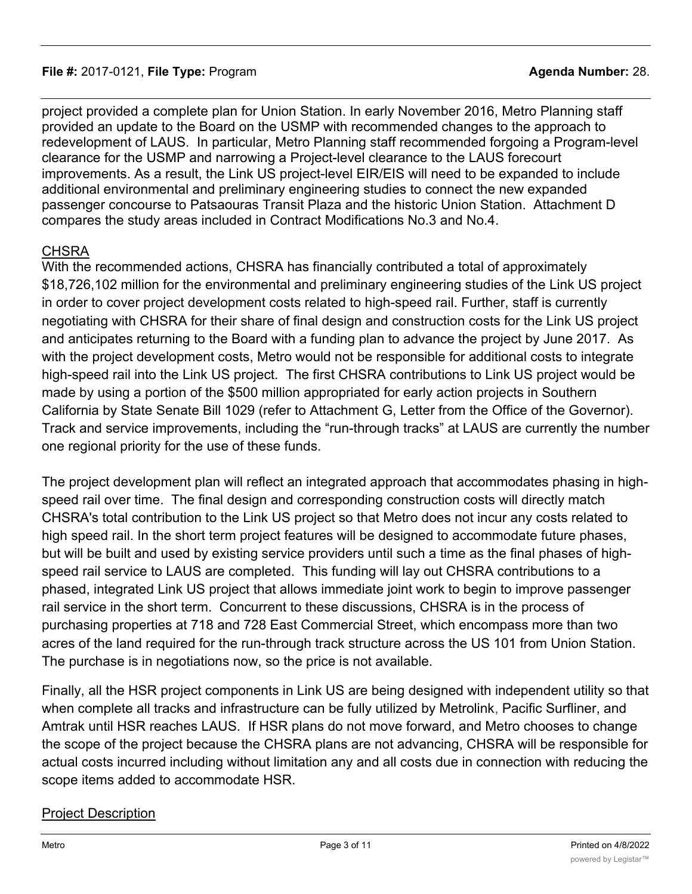project provided a complete plan for Union Station. In early November 2016, Metro Planning staff provided an update to the Board on the USMP with recommended changes to the approach to redevelopment of LAUS. In particular, Metro Planning staff recommended forgoing a Program-level clearance for the USMP and narrowing a Project-level clearance to the LAUS forecourt improvements. As a result, the Link US project-level EIR/EIS will need to be expanded to include additional environmental and preliminary engineering studies to connect the new expanded passenger concourse to Patsaouras Transit Plaza and the historic Union Station. Attachment D compares the study areas included in Contract Modifications No.3 and No.4.

## **CHSRA**

With the recommended actions, CHSRA has financially contributed a total of approximately \$18,726,102 million for the environmental and preliminary engineering studies of the Link US project in order to cover project development costs related to high-speed rail. Further, staff is currently negotiating with CHSRA for their share of final design and construction costs for the Link US project and anticipates returning to the Board with a funding plan to advance the project by June 2017. As with the project development costs, Metro would not be responsible for additional costs to integrate high-speed rail into the Link US project. The first CHSRA contributions to Link US project would be made by using a portion of the \$500 million appropriated for early action projects in Southern California by State Senate Bill 1029 (refer to Attachment G, Letter from the Office of the Governor). Track and service improvements, including the "run-through tracks" at LAUS are currently the number one regional priority for the use of these funds.

The project development plan will reflect an integrated approach that accommodates phasing in highspeed rail over time. The final design and corresponding construction costs will directly match CHSRA's total contribution to the Link US project so that Metro does not incur any costs related to high speed rail. In the short term project features will be designed to accommodate future phases, but will be built and used by existing service providers until such a time as the final phases of highspeed rail service to LAUS are completed. This funding will lay out CHSRA contributions to a phased, integrated Link US project that allows immediate joint work to begin to improve passenger rail service in the short term. Concurrent to these discussions, CHSRA is in the process of purchasing properties at 718 and 728 East Commercial Street, which encompass more than two acres of the land required for the run-through track structure across the US 101 from Union Station. The purchase is in negotiations now, so the price is not available.

Finally, all the HSR project components in Link US are being designed with independent utility so that when complete all tracks and infrastructure can be fully utilized by Metrolink, Pacific Surfliner, and Amtrak until HSR reaches LAUS. If HSR plans do not move forward, and Metro chooses to change the scope of the project because the CHSRA plans are not advancing, CHSRA will be responsible for actual costs incurred including without limitation any and all costs due in connection with reducing the scope items added to accommodate HSR.

## Project Description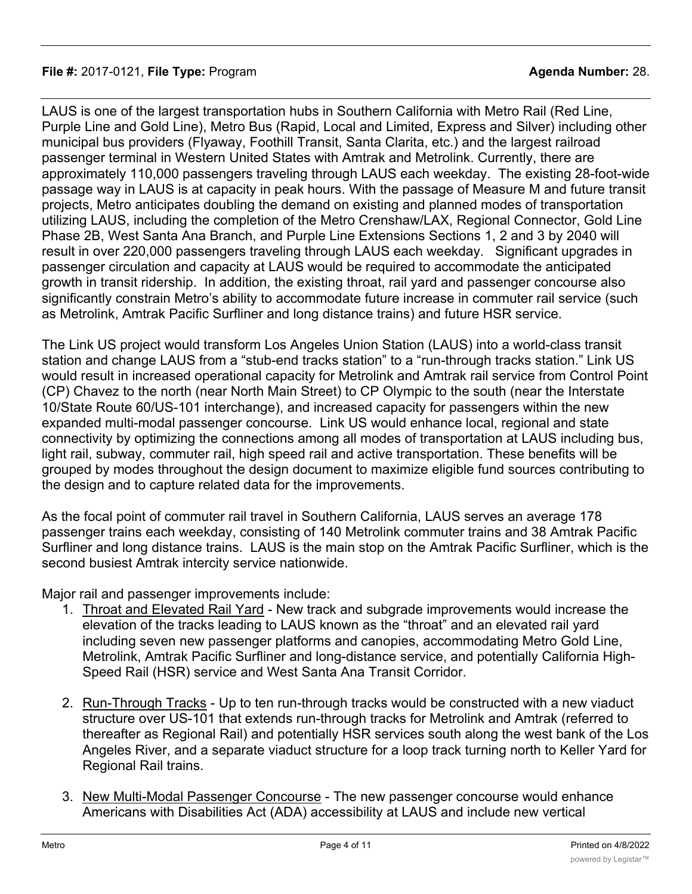LAUS is one of the largest transportation hubs in Southern California with Metro Rail (Red Line, Purple Line and Gold Line), Metro Bus (Rapid, Local and Limited, Express and Silver) including other municipal bus providers (Flyaway, Foothill Transit, Santa Clarita, etc.) and the largest railroad passenger terminal in Western United States with Amtrak and Metrolink. Currently, there are approximately 110,000 passengers traveling through LAUS each weekday. The existing 28-foot-wide passage way in LAUS is at capacity in peak hours. With the passage of Measure M and future transit projects, Metro anticipates doubling the demand on existing and planned modes of transportation utilizing LAUS, including the completion of the Metro Crenshaw/LAX, Regional Connector, Gold Line Phase 2B, West Santa Ana Branch, and Purple Line Extensions Sections 1, 2 and 3 by 2040 will result in over 220,000 passengers traveling through LAUS each weekday. Significant upgrades in passenger circulation and capacity at LAUS would be required to accommodate the anticipated growth in transit ridership. In addition, the existing throat, rail yard and passenger concourse also significantly constrain Metro's ability to accommodate future increase in commuter rail service (such as Metrolink, Amtrak Pacific Surfliner and long distance trains) and future HSR service.

The Link US project would transform Los Angeles Union Station (LAUS) into a world-class transit station and change LAUS from a "stub-end tracks station" to a "run-through tracks station." Link US would result in increased operational capacity for Metrolink and Amtrak rail service from Control Point (CP) Chavez to the north (near North Main Street) to CP Olympic to the south (near the Interstate 10/State Route 60/US-101 interchange), and increased capacity for passengers within the new expanded multi-modal passenger concourse. Link US would enhance local, regional and state connectivity by optimizing the connections among all modes of transportation at LAUS including bus, light rail, subway, commuter rail, high speed rail and active transportation. These benefits will be grouped by modes throughout the design document to maximize eligible fund sources contributing to the design and to capture related data for the improvements.

As the focal point of commuter rail travel in Southern California, LAUS serves an average 178 passenger trains each weekday, consisting of 140 Metrolink commuter trains and 38 Amtrak Pacific Surfliner and long distance trains. LAUS is the main stop on the Amtrak Pacific Surfliner, which is the second busiest Amtrak intercity service nationwide.

Major rail and passenger improvements include:

- 1. Throat and Elevated Rail Yard New track and subgrade improvements would increase the elevation of the tracks leading to LAUS known as the "throat" and an elevated rail yard including seven new passenger platforms and canopies, accommodating Metro Gold Line, Metrolink, Amtrak Pacific Surfliner and long-distance service, and potentially California High-Speed Rail (HSR) service and West Santa Ana Transit Corridor.
- 2. Run-Through Tracks Up to ten run-through tracks would be constructed with a new viaduct structure over US-101 that extends run-through tracks for Metrolink and Amtrak (referred to thereafter as Regional Rail) and potentially HSR services south along the west bank of the Los Angeles River, and a separate viaduct structure for a loop track turning north to Keller Yard for Regional Rail trains.
- 3. New Multi-Modal Passenger Concourse The new passenger concourse would enhance Americans with Disabilities Act (ADA) accessibility at LAUS and include new vertical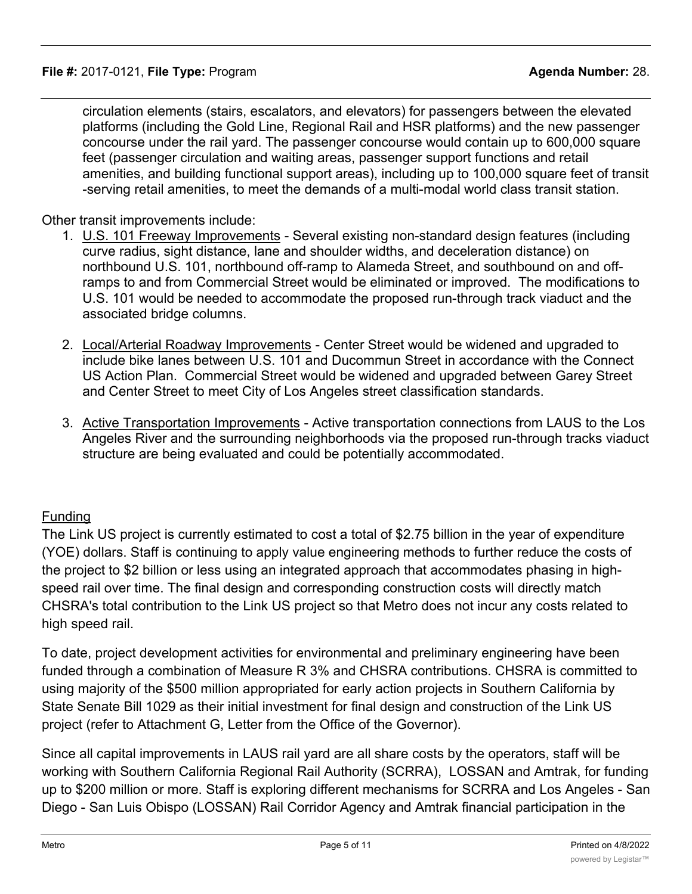circulation elements (stairs, escalators, and elevators) for passengers between the elevated platforms (including the Gold Line, Regional Rail and HSR platforms) and the new passenger concourse under the rail yard. The passenger concourse would contain up to 600,000 square feet (passenger circulation and waiting areas, passenger support functions and retail amenities, and building functional support areas), including up to 100,000 square feet of transit -serving retail amenities, to meet the demands of a multi-modal world class transit station.

Other transit improvements include:

- 1. U.S. 101 Freeway Improvements Several existing non-standard design features (including curve radius, sight distance, lane and shoulder widths, and deceleration distance) on northbound U.S. 101, northbound off-ramp to Alameda Street, and southbound on and offramps to and from Commercial Street would be eliminated or improved. The modifications to U.S. 101 would be needed to accommodate the proposed run-through track viaduct and the associated bridge columns.
- 2. Local/Arterial Roadway Improvements Center Street would be widened and upgraded to include bike lanes between U.S. 101 and Ducommun Street in accordance with the Connect US Action Plan. Commercial Street would be widened and upgraded between Garey Street and Center Street to meet City of Los Angeles street classification standards.
- 3. Active Transportation Improvements Active transportation connections from LAUS to the Los Angeles River and the surrounding neighborhoods via the proposed run-through tracks viaduct structure are being evaluated and could be potentially accommodated.

## Funding

The Link US project is currently estimated to cost a total of \$2.75 billion in the year of expenditure (YOE) dollars. Staff is continuing to apply value engineering methods to further reduce the costs of the project to \$2 billion or less using an integrated approach that accommodates phasing in highspeed rail over time. The final design and corresponding construction costs will directly match CHSRA's total contribution to the Link US project so that Metro does not incur any costs related to high speed rail.

To date, project development activities for environmental and preliminary engineering have been funded through a combination of Measure R 3% and CHSRA contributions. CHSRA is committed to using majority of the \$500 million appropriated for early action projects in Southern California by State Senate Bill 1029 as their initial investment for final design and construction of the Link US project (refer to Attachment G, Letter from the Office of the Governor).

Since all capital improvements in LAUS rail yard are all share costs by the operators, staff will be working with Southern California Regional Rail Authority (SCRRA), LOSSAN and Amtrak, for funding up to \$200 million or more. Staff is exploring different mechanisms for SCRRA and Los Angeles - San Diego - San Luis Obispo (LOSSAN) Rail Corridor Agency and Amtrak financial participation in the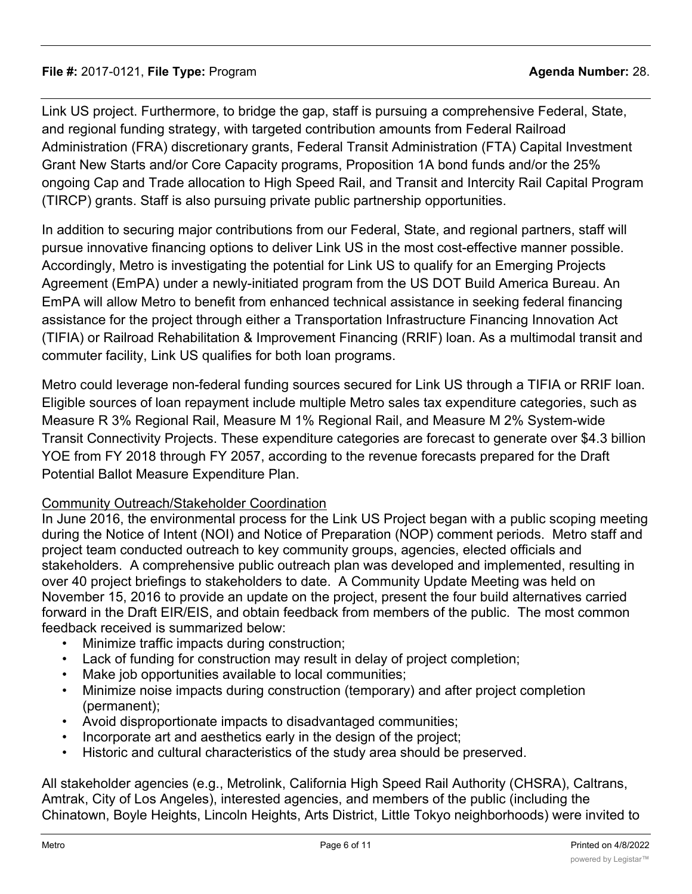Link US project. Furthermore, to bridge the gap, staff is pursuing a comprehensive Federal, State, and regional funding strategy, with targeted contribution amounts from Federal Railroad Administration (FRA) discretionary grants, Federal Transit Administration (FTA) Capital Investment Grant New Starts and/or Core Capacity programs, Proposition 1A bond funds and/or the 25% ongoing Cap and Trade allocation to High Speed Rail, and Transit and Intercity Rail Capital Program (TIRCP) grants. Staff is also pursuing private public partnership opportunities.

In addition to securing major contributions from our Federal, State, and regional partners, staff will pursue innovative financing options to deliver Link US in the most cost-effective manner possible. Accordingly, Metro is investigating the potential for Link US to qualify for an Emerging Projects Agreement (EmPA) under a newly-initiated program from the US DOT Build America Bureau. An EmPA will allow Metro to benefit from enhanced technical assistance in seeking federal financing assistance for the project through either a Transportation Infrastructure Financing Innovation Act (TIFIA) or Railroad Rehabilitation & Improvement Financing (RRIF) loan. As a multimodal transit and commuter facility, Link US qualifies for both loan programs.

Metro could leverage non-federal funding sources secured for Link US through a TIFIA or RRIF loan. Eligible sources of loan repayment include multiple Metro sales tax expenditure categories, such as Measure R 3% Regional Rail, Measure M 1% Regional Rail, and Measure M 2% System-wide Transit Connectivity Projects. These expenditure categories are forecast to generate over \$4.3 billion YOE from FY 2018 through FY 2057, according to the revenue forecasts prepared for the Draft Potential Ballot Measure Expenditure Plan.

### Community Outreach/Stakeholder Coordination

In June 2016, the environmental process for the Link US Project began with a public scoping meeting during the Notice of Intent (NOI) and Notice of Preparation (NOP) comment periods. Metro staff and project team conducted outreach to key community groups, agencies, elected officials and stakeholders. A comprehensive public outreach plan was developed and implemented, resulting in over 40 project briefings to stakeholders to date. A Community Update Meeting was held on November 15, 2016 to provide an update on the project, present the four build alternatives carried forward in the Draft EIR/EIS, and obtain feedback from members of the public. The most common feedback received is summarized below:

- Minimize traffic impacts during construction;
- Lack of funding for construction may result in delay of project completion;
- Make job opportunities available to local communities;
- Minimize noise impacts during construction (temporary) and after project completion (permanent);
- Avoid disproportionate impacts to disadvantaged communities;
- Incorporate art and aesthetics early in the design of the project;
- Historic and cultural characteristics of the study area should be preserved.

All stakeholder agencies (e.g., Metrolink, California High Speed Rail Authority (CHSRA), Caltrans, Amtrak, City of Los Angeles), interested agencies, and members of the public (including the Chinatown, Boyle Heights, Lincoln Heights, Arts District, Little Tokyo neighborhoods) were invited to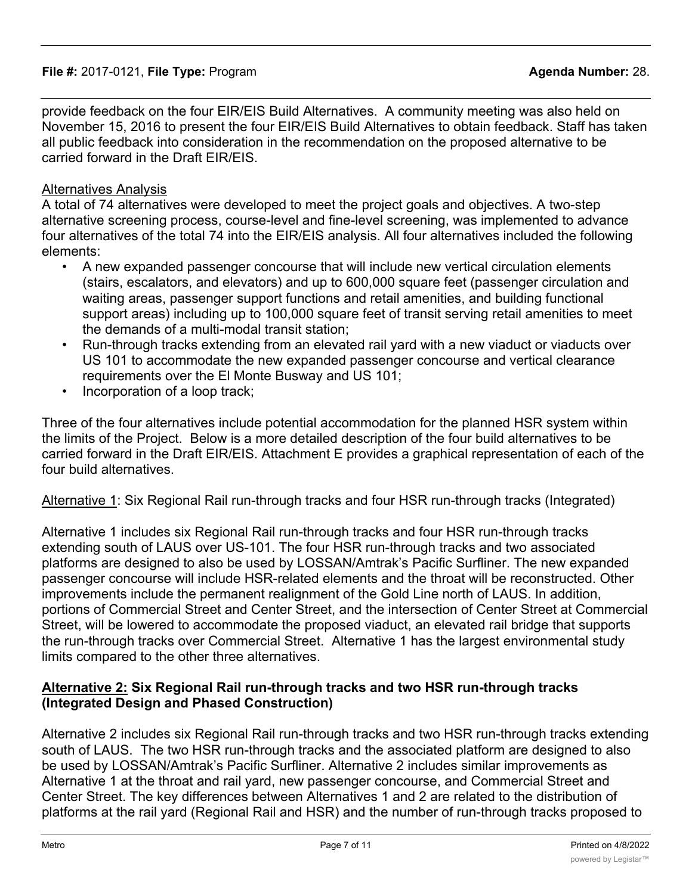provide feedback on the four EIR/EIS Build Alternatives. A community meeting was also held on November 15, 2016 to present the four EIR/EIS Build Alternatives to obtain feedback. Staff has taken all public feedback into consideration in the recommendation on the proposed alternative to be carried forward in the Draft EIR/EIS.

# Alternatives Analysis

A total of 74 alternatives were developed to meet the project goals and objectives. A two-step alternative screening process, course-level and fine-level screening, was implemented to advance four alternatives of the total 74 into the EIR/EIS analysis. All four alternatives included the following elements:

- A new expanded passenger concourse that will include new vertical circulation elements (stairs, escalators, and elevators) and up to 600,000 square feet (passenger circulation and waiting areas, passenger support functions and retail amenities, and building functional support areas) including up to 100,000 square feet of transit serving retail amenities to meet the demands of a multi-modal transit station;
- Run-through tracks extending from an elevated rail yard with a new viaduct or viaducts over US 101 to accommodate the new expanded passenger concourse and vertical clearance requirements over the El Monte Busway and US 101;
- Incorporation of a loop track;

Three of the four alternatives include potential accommodation for the planned HSR system within the limits of the Project. Below is a more detailed description of the four build alternatives to be carried forward in the Draft EIR/EIS. Attachment E provides a graphical representation of each of the four build alternatives.

Alternative 1: Six Regional Rail run-through tracks and four HSR run-through tracks (Integrated)

Alternative 1 includes six Regional Rail run-through tracks and four HSR run-through tracks extending south of LAUS over US-101. The four HSR run-through tracks and two associated platforms are designed to also be used by LOSSAN/Amtrak's Pacific Surfliner. The new expanded passenger concourse will include HSR-related elements and the throat will be reconstructed. Other improvements include the permanent realignment of the Gold Line north of LAUS. In addition, portions of Commercial Street and Center Street, and the intersection of Center Street at Commercial Street, will be lowered to accommodate the proposed viaduct, an elevated rail bridge that supports the run-through tracks over Commercial Street. Alternative 1 has the largest environmental study limits compared to the other three alternatives.

## **Alternative 2: Six Regional Rail run-through tracks and two HSR run-through tracks (Integrated Design and Phased Construction)**

Alternative 2 includes six Regional Rail run-through tracks and two HSR run-through tracks extending south of LAUS. The two HSR run-through tracks and the associated platform are designed to also be used by LOSSAN/Amtrak's Pacific Surfliner. Alternative 2 includes similar improvements as Alternative 1 at the throat and rail yard, new passenger concourse, and Commercial Street and Center Street. The key differences between Alternatives 1 and 2 are related to the distribution of platforms at the rail yard (Regional Rail and HSR) and the number of run-through tracks proposed to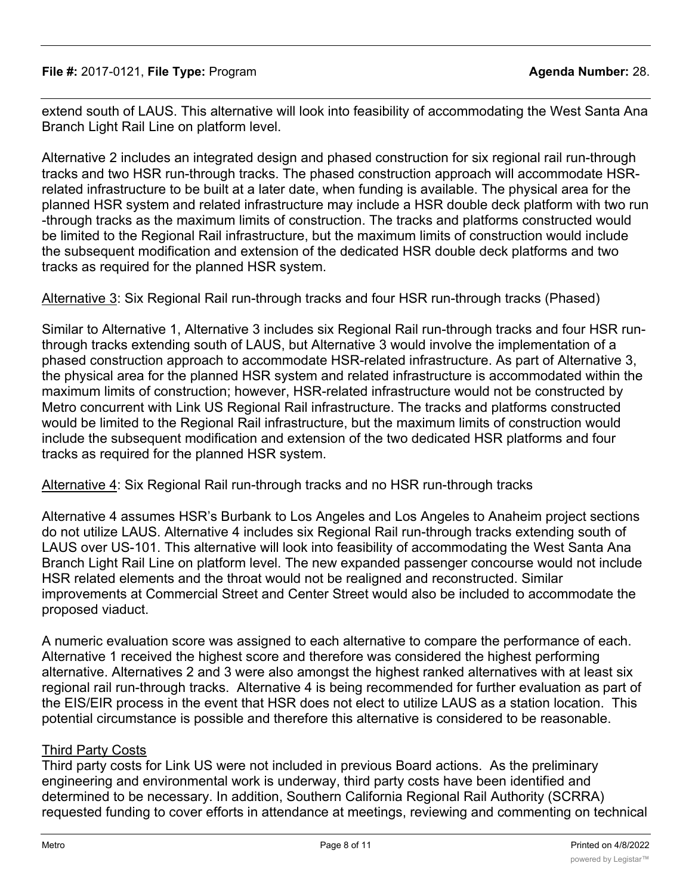extend south of LAUS. This alternative will look into feasibility of accommodating the West Santa Ana Branch Light Rail Line on platform level.

Alternative 2 includes an integrated design and phased construction for six regional rail run-through tracks and two HSR run-through tracks. The phased construction approach will accommodate HSRrelated infrastructure to be built at a later date, when funding is available. The physical area for the planned HSR system and related infrastructure may include a HSR double deck platform with two run -through tracks as the maximum limits of construction. The tracks and platforms constructed would be limited to the Regional Rail infrastructure, but the maximum limits of construction would include the subsequent modification and extension of the dedicated HSR double deck platforms and two tracks as required for the planned HSR system.

Alternative 3: Six Regional Rail run-through tracks and four HSR run-through tracks (Phased)

Similar to Alternative 1, Alternative 3 includes six Regional Rail run-through tracks and four HSR runthrough tracks extending south of LAUS, but Alternative 3 would involve the implementation of a phased construction approach to accommodate HSR-related infrastructure. As part of Alternative 3, the physical area for the planned HSR system and related infrastructure is accommodated within the maximum limits of construction; however, HSR-related infrastructure would not be constructed by Metro concurrent with Link US Regional Rail infrastructure. The tracks and platforms constructed would be limited to the Regional Rail infrastructure, but the maximum limits of construction would include the subsequent modification and extension of the two dedicated HSR platforms and four tracks as required for the planned HSR system.

Alternative 4: Six Regional Rail run-through tracks and no HSR run-through tracks

Alternative 4 assumes HSR's Burbank to Los Angeles and Los Angeles to Anaheim project sections do not utilize LAUS. Alternative 4 includes six Regional Rail run-through tracks extending south of LAUS over US-101. This alternative will look into feasibility of accommodating the West Santa Ana Branch Light Rail Line on platform level. The new expanded passenger concourse would not include HSR related elements and the throat would not be realigned and reconstructed. Similar improvements at Commercial Street and Center Street would also be included to accommodate the proposed viaduct.

A numeric evaluation score was assigned to each alternative to compare the performance of each. Alternative 1 received the highest score and therefore was considered the highest performing alternative. Alternatives 2 and 3 were also amongst the highest ranked alternatives with at least six regional rail run-through tracks. Alternative 4 is being recommended for further evaluation as part of the EIS/EIR process in the event that HSR does not elect to utilize LAUS as a station location. This potential circumstance is possible and therefore this alternative is considered to be reasonable.

## Third Party Costs

Third party costs for Link US were not included in previous Board actions. As the preliminary engineering and environmental work is underway, third party costs have been identified and determined to be necessary. In addition, Southern California Regional Rail Authority (SCRRA) requested funding to cover efforts in attendance at meetings, reviewing and commenting on technical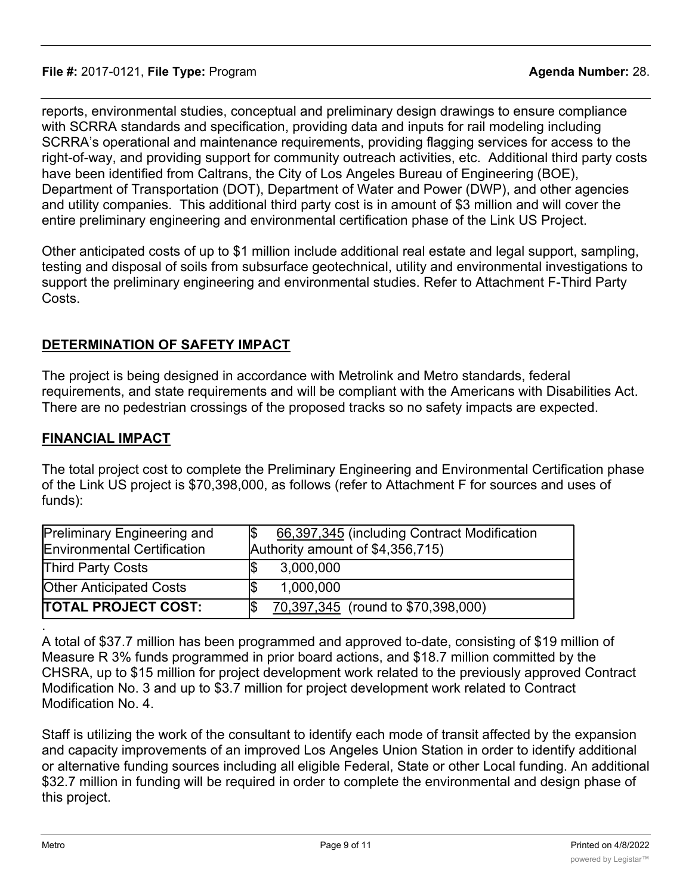reports, environmental studies, conceptual and preliminary design drawings to ensure compliance with SCRRA standards and specification, providing data and inputs for rail modeling including SCRRA's operational and maintenance requirements, providing flagging services for access to the right-of-way, and providing support for community outreach activities, etc. Additional third party costs have been identified from Caltrans, the City of Los Angeles Bureau of Engineering (BOE), Department of Transportation (DOT), Department of Water and Power (DWP), and other agencies and utility companies. This additional third party cost is in amount of \$3 million and will cover the entire preliminary engineering and environmental certification phase of the Link US Project.

Other anticipated costs of up to \$1 million include additional real estate and legal support, sampling, testing and disposal of soils from subsurface geotechnical, utility and environmental investigations to support the preliminary engineering and environmental studies. Refer to Attachment F-Third Party Costs.

### **DETERMINATION OF SAFETY IMPACT**

The project is being designed in accordance with Metrolink and Metro standards, federal requirements, and state requirements and will be compliant with the Americans with Disabilities Act. There are no pedestrian crossings of the proposed tracks so no safety impacts are expected.

### **FINANCIAL IMPACT**

The total project cost to complete the Preliminary Engineering and Environmental Certification phase of the Link US project is \$70,398,000, as follows (refer to Attachment F for sources and uses of funds):

| <b>Preliminary Engineering and</b><br><b>Environmental Certification</b> | 66,397,345 (including Contract Modification<br>Authority amount of \$4,356,715) |
|--------------------------------------------------------------------------|---------------------------------------------------------------------------------|
| <b>Third Party Costs</b>                                                 | 3,000,000                                                                       |
| <b>Other Anticipated Costs</b>                                           | 1,000,000                                                                       |
| <b>ITOTAL PROJECT COST:</b>                                              | 70,397,345 (round to \$70,398,000)                                              |

A total of \$37.7 million has been programmed and approved to-date, consisting of \$19 million of Measure R 3% funds programmed in prior board actions, and \$18.7 million committed by the CHSRA, up to \$15 million for project development work related to the previously approved Contract Modification No. 3 and up to \$3.7 million for project development work related to Contract Modification No. 4.

Staff is utilizing the work of the consultant to identify each mode of transit affected by the expansion and capacity improvements of an improved Los Angeles Union Station in order to identify additional or alternative funding sources including all eligible Federal, State or other Local funding. An additional \$32.7 million in funding will be required in order to complete the environmental and design phase of this project.

.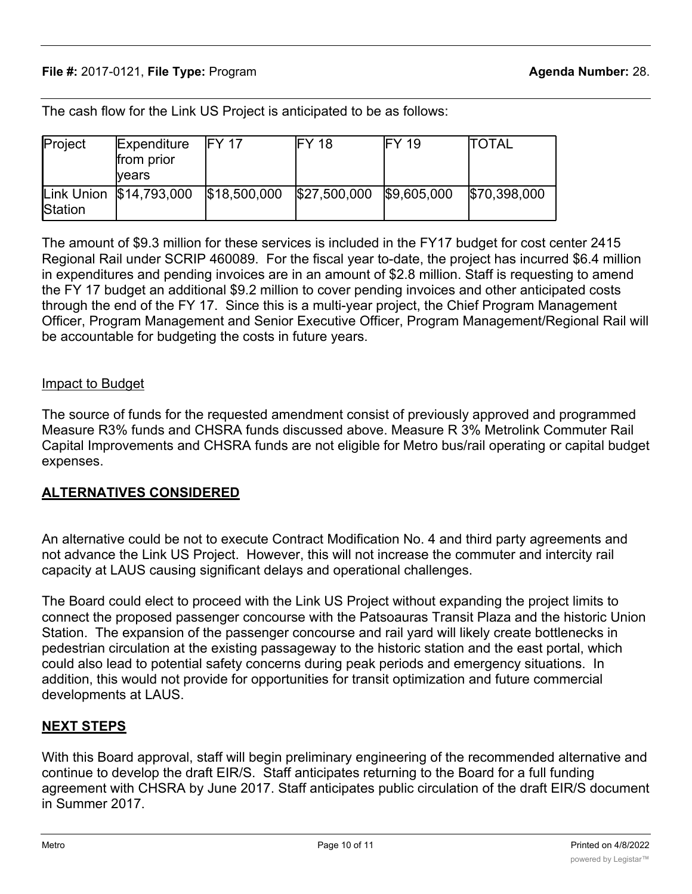The cash flow for the Link US Project is anticipated to be as follows:

| Project | Expenditure<br>from prior<br>lvears  | IFY 17 | <b>IFY 18</b>              | IFY 19 | <b>ITOTAL</b> |
|---------|--------------------------------------|--------|----------------------------|--------|---------------|
| Station | Link Union \$14,793,000 \$18,500,000 |        | $$27,500,000$ $$9,605,000$ |        | \$70,398,000  |

The amount of \$9.3 million for these services is included in the FY17 budget for cost center 2415 Regional Rail under SCRIP 460089. For the fiscal year to-date, the project has incurred \$6.4 million in expenditures and pending invoices are in an amount of \$2.8 million. Staff is requesting to amend the FY 17 budget an additional \$9.2 million to cover pending invoices and other anticipated costs through the end of the FY 17. Since this is a multi-year project, the Chief Program Management Officer, Program Management and Senior Executive Officer, Program Management/Regional Rail will be accountable for budgeting the costs in future years.

#### Impact to Budget

The source of funds for the requested amendment consist of previously approved and programmed Measure R3% funds and CHSRA funds discussed above. Measure R 3% Metrolink Commuter Rail Capital Improvements and CHSRA funds are not eligible for Metro bus/rail operating or capital budget expenses.

### **ALTERNATIVES CONSIDERED**

An alternative could be not to execute Contract Modification No. 4 and third party agreements and not advance the Link US Project. However, this will not increase the commuter and intercity rail capacity at LAUS causing significant delays and operational challenges.

The Board could elect to proceed with the Link US Project without expanding the project limits to connect the proposed passenger concourse with the Patsoauras Transit Plaza and the historic Union Station. The expansion of the passenger concourse and rail yard will likely create bottlenecks in pedestrian circulation at the existing passageway to the historic station and the east portal, which could also lead to potential safety concerns during peak periods and emergency situations. In addition, this would not provide for opportunities for transit optimization and future commercial developments at LAUS.

## **NEXT STEPS**

With this Board approval, staff will begin preliminary engineering of the recommended alternative and continue to develop the draft EIR/S. Staff anticipates returning to the Board for a full funding agreement with CHSRA by June 2017. Staff anticipates public circulation of the draft EIR/S document in Summer 2017.